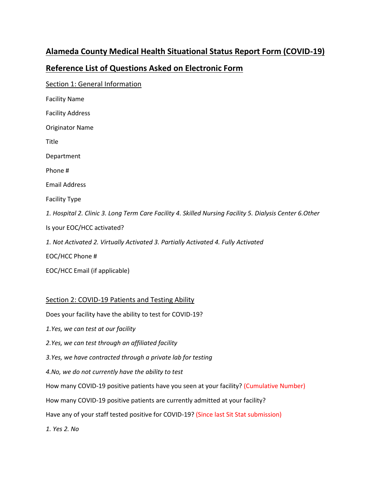# **Alameda County Medical Health Situational Status Report Form (COVID-19)**

## **Reference List of Questions Asked on Electronic Form**

Section 1: General Information Facility Name Facility Address Originator Name Title Department Phone # Email Address Facility Type *1. Hospital 2. Clinic 3. Long Term Care Facility 4. Skilled Nursing Facility 5. Dialysis Center 6.Other* Is your EOC/HCC activated? *1. Not Activated 2. Virtually Activated 3. Partially Activated 4. Fully Activated* EOC/HCC Phone # EOC/HCC Email (if applicable)

### Section 2: COVID-19 Patients and Testing Ability

Does your facility have the ability to test for COVID-19?

*1.Yes, we can test at our facility*

*2.Yes, we can test through an affiliated facility*

*3.Yes, we have contracted through a private lab for testing*

*4.No, we do not currently have the ability to test*

How many COVID-19 positive patients have you seen at your facility? (Cumulative Number)

How many COVID-19 positive patients are currently admitted at your facility?

Have any of your staff tested positive for COVID-19? (Since last Sit Stat submission)

*1. Yes 2. No*